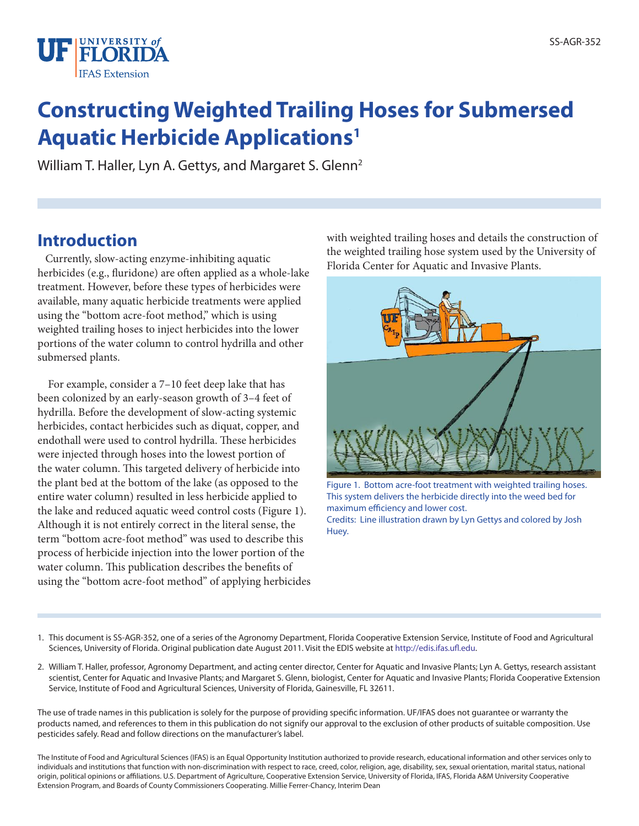

# **Constructing Weighted Trailing Hoses for Submersed Aquatic Herbicide Applications1**

William T. Haller, Lyn A. Gettys, and Margaret S. Glenn<sup>2</sup>

#### **Introduction**

 Currently, slow-acting enzyme-inhibiting aquatic herbicides (e.g., fluridone) are often applied as a whole-lake treatment. However, before these types of herbicides were available, many aquatic herbicide treatments were applied using the "bottom acre-foot method," which is using weighted trailing hoses to inject herbicides into the lower portions of the water column to control hydrilla and other submersed plants.

 For example, consider a 7–10 feet deep lake that has been colonized by an early-season growth of 3–4 feet of hydrilla. Before the development of slow-acting systemic herbicides, contact herbicides such as diquat, copper, and endothall were used to control hydrilla. These herbicides were injected through hoses into the lowest portion of the water column. This targeted delivery of herbicide into the plant bed at the bottom of the lake (as opposed to the entire water column) resulted in less herbicide applied to the lake and reduced aquatic weed control costs (Figure 1). Although it is not entirely correct in the literal sense, the term "bottom acre-foot method" was used to describe this process of herbicide injection into the lower portion of the water column. This publication describes the benefits of using the "bottom acre-foot method" of applying herbicides with weighted trailing hoses and details the construction of the weighted trailing hose system used by the University of Florida Center for Aquatic and Invasive Plants.



Figure 1. Bottom acre-foot treatment with weighted trailing hoses. This system delivers the herbicide directly into the weed bed for maximum efficiency and lower cost. Credits: Line illustration drawn by Lyn Gettys and colored by Josh Huey.

- 1. This document is SS-AGR-352, one of a series of the Agronomy Department, Florida Cooperative Extension Service, Institute of Food and Agricultural Sciences, University of Florida. Original publication date August 2011. Visit the EDIS website at http://edis.ifas.ufl.edu.
- 2. William T. Haller, professor, Agronomy Department, and acting center director, Center for Aquatic and Invasive Plants; Lyn A. Gettys, research assistant scientist, Center for Aquatic and Invasive Plants; and Margaret S. Glenn, biologist, Center for Aquatic and Invasive Plants; Florida Cooperative Extension Service, Institute of Food and Agricultural Sciences, University of Florida, Gainesville, FL 32611.

The use of trade names in this publication is solely for the purpose of providing specific information. UF/IFAS does not guarantee or warranty the products named, and references to them in this publication do not signify our approval to the exclusion of other products of suitable composition. Use pesticides safely. Read and follow directions on the manufacturer's label.

The Institute of Food and Agricultural Sciences (IFAS) is an Equal Opportunity Institution authorized to provide research, educational information and other services only to individuals and institutions that function with non-discrimination with respect to race, creed, color, religion, age, disability, sex, sexual orientation, marital status, national origin, political opinions or affiliations. U.S. Department of Agriculture, Cooperative Extension Service, University of Florida, IFAS, Florida A&M University Cooperative Extension Program, and Boards of County Commissioners Cooperating. Millie Ferrer-Chancy, Interim Dean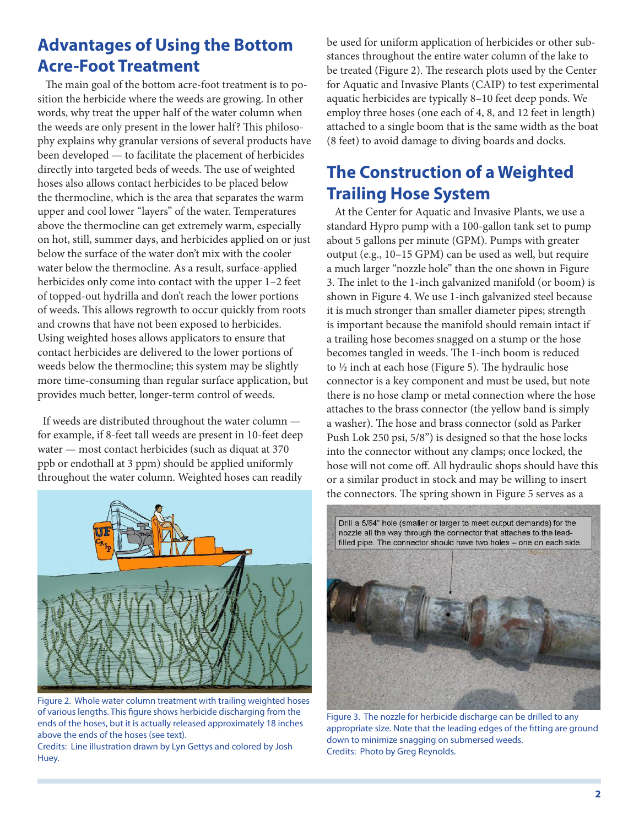## **Advantages of Using the Bottom Acre-Foot Treatment**

 The main goal of the bottom acre-foot treatment is to position the herbicide where the weeds are growing. In other words, why treat the upper half of the water column when the weeds are only present in the lower half? This philosophy explains why granular versions of several products have been developed — to facilitate the placement of herbicides directly into targeted beds of weeds. The use of weighted hoses also allows contact herbicides to be placed below the thermocline, which is the area that separates the warm upper and cool lower "layers" of the water. Temperatures above the thermocline can get extremely warm, especially on hot, still, summer days, and herbicides applied on or just below the surface of the water don't mix with the cooler water below the thermocline. As a result, surface-applied herbicides only come into contact with the upper 1–2 feet of topped-out hydrilla and don't reach the lower portions of weeds. This allows regrowth to occur quickly from roots and crowns that have not been exposed to herbicides. Using weighted hoses allows applicators to ensure that contact herbicides are delivered to the lower portions of weeds below the thermocline; this system may be slightly more time-consuming than regular surface application, but provides much better, longer-term control of weeds.

 If weeds are distributed throughout the water column for example, if 8-feet tall weeds are present in 10-feet deep water — most contact herbicides (such as diquat at 370 ppb or endothall at 3 ppm) should be applied uniformly throughout the water column. Weighted hoses can readily



Figure 2. Whole water column treatment with trailing weighted hoses of various lengths. This figure shows herbicide discharging from the ends of the hoses, but it is actually released approximately 18 inches above the ends of the hoses (see text).

Credits: Line illustration drawn by Lyn Gettys and colored by Josh Huey.

be used for uniform application of herbicides or other substances throughout the entire water column of the lake to be treated (Figure 2). The research plots used by the Center for Aquatic and Invasive Plants (CAIP) to test experimental aquatic herbicides are typically 8–10 feet deep ponds. We employ three hoses (one each of 4, 8, and 12 feet in length) attached to a single boom that is the same width as the boat (8 feet) to avoid damage to diving boards and docks.

## **The Construction of a Weighted Trailing Hose System**

 At the Center for Aquatic and Invasive Plants, we use a standard Hypro pump with a 100-gallon tank set to pump about 5 gallons per minute (GPM). Pumps with greater output (e.g., 10–15 GPM) can be used as well, but require a much larger "nozzle hole" than the one shown in Figure 3. The inlet to the 1-inch galvanized manifold (or boom) is shown in Figure 4. We use 1-inch galvanized steel because it is much stronger than smaller diameter pipes; strength is important because the manifold should remain intact if a trailing hose becomes snagged on a stump or the hose becomes tangled in weeds. The 1-inch boom is reduced to ½ inch at each hose (Figure 5). The hydraulic hose connector is a key component and must be used, but note there is no hose clamp or metal connection where the hose attaches to the brass connector (the yellow band is simply a washer). The hose and brass connector (sold as Parker Push Lok 250 psi, 5/8") is designed so that the hose locks into the connector without any clamps; once locked, the hose will not come off. All hydraulic shops should have this or a similar product in stock and may be willing to insert the connectors. The spring shown in Figure 5 serves as a



Figure 3. The nozzle for herbicide discharge can be drilled to any appropriate size. Note that the leading edges of the fitting are ground down to minimize snagging on submersed weeds. Credits: Photo by Greg Reynolds.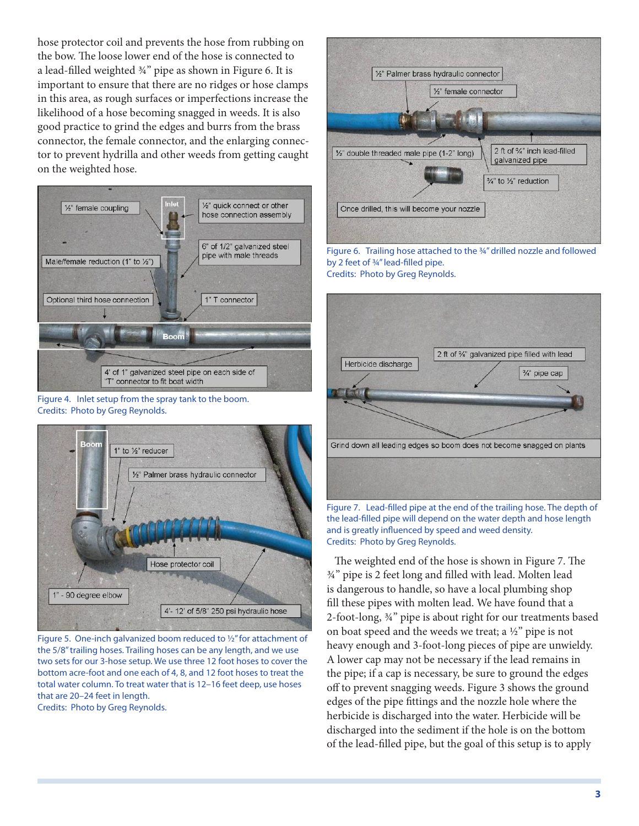hose protector coil and prevents the hose from rubbing on the bow. The loose lower end of the hose is connected to a lead-filled weighted ¾" pipe as shown in Figure 6. It is important to ensure that there are no ridges or hose clamps in this area, as rough surfaces or imperfections increase the likelihood of a hose becoming snagged in weeds. It is also good practice to grind the edges and burrs from the brass connector, the female connector, and the enlarging connector to prevent hydrilla and other weeds from getting caught on the weighted hose.



Figure 4. Inlet setup from the spray tank to the boom. Credits: Photo by Greg Reynolds.



Figure 5. One-inch galvanized boom reduced to ½" for attachment of the 5/8" trailing hoses. Trailing hoses can be any length, and we use two sets for our 3-hose setup. We use three 12 foot hoses to cover the bottom acre-foot and one each of 4, 8, and 12 foot hoses to treat the total water column. To treat water that is 12–16 feet deep, use hoses that are 20–24 feet in length.

Credits: Photo by Greg Reynolds.



Figure 6. Trailing hose attached to the ¾" drilled nozzle and followed by 2 feet of ¾" lead-filled pipe. Credits: Photo by Greg Reynolds.



Figure 7. Lead-filled pipe at the end of the trailing hose. The depth of the lead-filled pipe will depend on the water depth and hose length and is greatly influenced by speed and weed density. Credits: Photo by Greg Reynolds.

 The weighted end of the hose is shown in Figure 7. The ¾" pipe is 2 feet long and filled with lead. Molten lead is dangerous to handle, so have a local plumbing shop fill these pipes with molten lead. We have found that a 2-foot-long, ¾" pipe is about right for our treatments based on boat speed and the weeds we treat; a ½" pipe is not heavy enough and 3-foot-long pieces of pipe are unwieldy. A lower cap may not be necessary if the lead remains in the pipe; if a cap is necessary, be sure to ground the edges off to prevent snagging weeds. Figure 3 shows the ground edges of the pipe fittings and the nozzle hole where the herbicide is discharged into the water. Herbicide will be discharged into the sediment if the hole is on the bottom of the lead-filled pipe, but the goal of this setup is to apply